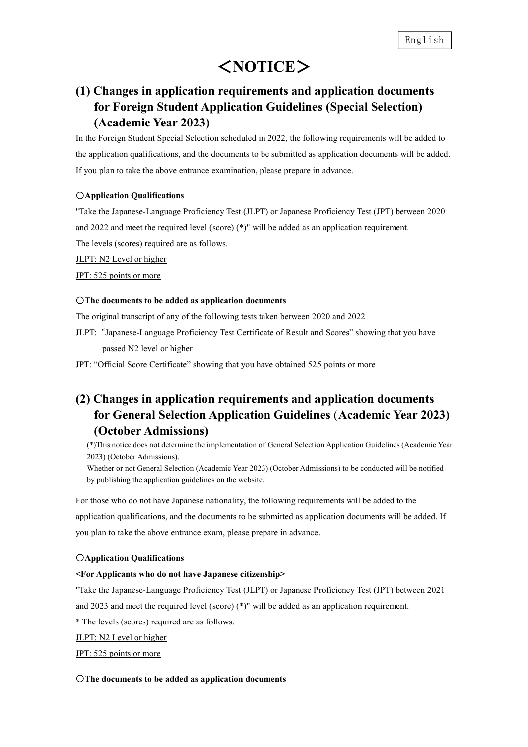# <**NOTICE**>

## **(1) Changes in application requirements and application documents for Foreign Student Application Guidelines (Special Selection) (Academic Year 2023)**

In the Foreign Student Special Selection scheduled in 2022, the following requirements will be added to the application qualifications, and the documents to be submitted as application documents will be added. If you plan to take the above entrance examination, please prepare in advance.

### ○**Application Qualifications**

"Take the Japanese-Language Proficiency Test (JLPT) or Japanese Proficiency Test (JPT) between 2020 and 2022 and meet the required level (score) (\*)" will be added as an application requirement. The levels (scores) required are as follows.

JLPT: N2 Level or higher

JPT: 525 points or more

### ○**The documents to be added as application documents**

The original transcript of any of the following tests taken between 2020 and 2022

JLPT: "Japanese-Language Proficiency Test Certificate of Result and Scores" showing that you have passed N2 level or higher

JPT: "Official Score Certificate" showing that you have obtained 525 points or more

### **(2) Changes in application requirements and application documents for General Selection Application Guidelines** (**Academic Year 2023) (October Admissions)**

(\*)This notice does not determine the implementation of General Selection Application Guidelines (Academic Year 2023) (October Admissions).

Whether or not General Selection (Academic Year 2023) (October Admissions) to be conducted will be notified by publishing the application guidelines on the website.

For those who do not have Japanese nationality, the following requirements will be added to the application qualifications, and the documents to be submitted as application documents will be added. If you plan to take the above entrance exam, please prepare in advance.

### ○**Application Qualifications**

### **<For Applicants who do not have Japanese citizenship>**

"Take the Japanese-Language Proficiency Test (JLPT) or Japanese Proficiency Test (JPT) between 2021

and 2023 and meet the required level (score) (\*)" will be added as an application requirement.

\* The levels (scores) required are as follows.

JLPT: N2 Level or higher

JPT: 525 points or more

### ○**The documents to be added as application documents**